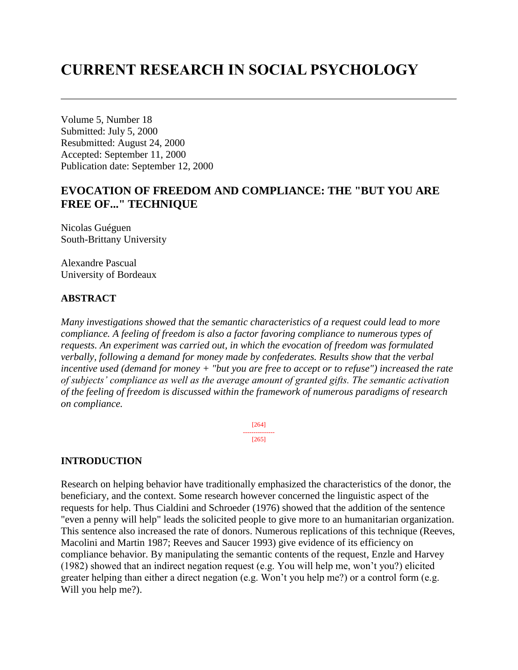# **CURRENT RESEARCH IN SOCIAL PSYCHOLOGY**

Volume 5, Number 18 Submitted: July 5, 2000 Resubmitted: August 24, 2000 Accepted: September 11, 2000 Publication date: September 12, 2000

# **EVOCATION OF FREEDOM AND COMPLIANCE: THE "BUT YOU ARE FREE OF..." TECHNIQUE**

Nicolas Guéguen South-Brittany University

Alexandre Pascual University of Bordeaux

# **ABSTRACT**

*Many investigations showed that the semantic characteristics of a request could lead to more compliance. A feeling of freedom is also a factor favoring compliance to numerous types of requests. An experiment was carried out, in which the evocation of freedom was formulated verbally, following a demand for money made by confederates. Results show that the verbal incentive used (demand for money + "but you are free to accept or to refuse") increased the rate of subjects' compliance as well as the average amount of granted gifts. The semantic activation of the feeling of freedom is discussed within the framework of numerous paradigms of research on compliance.* 

> [264] --------------- [265]

# **INTRODUCTION**

Research on helping behavior have traditionally emphasized the characteristics of the donor, the beneficiary, and the context. Some research however concerned the linguistic aspect of the requests for help. Thus Cialdini and Schroeder (1976) showed that the addition of the sentence "even a penny will help" leads the solicited people to give more to an humanitarian organization. This sentence also increased the rate of donors. Numerous replications of this technique (Reeves, Macolini and Martin 1987; Reeves and Saucer 1993) give evidence of its efficiency on compliance behavior. By manipulating the semantic contents of the request, Enzle and Harvey (1982) showed that an indirect negation request (e.g. You will help me, won't you?) elicited greater helping than either a direct negation (e.g. Won't you help me?) or a control form (e.g. Will you help me?).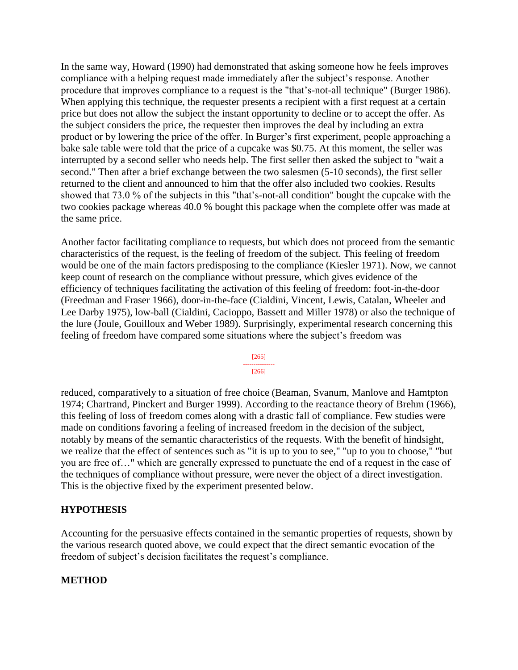In the same way, Howard (1990) had demonstrated that asking someone how he feels improves compliance with a helping request made immediately after the subject's response. Another procedure that improves compliance to a request is the "that's-not-all technique" (Burger 1986). When applying this technique, the requester presents a recipient with a first request at a certain price but does not allow the subject the instant opportunity to decline or to accept the offer. As the subject considers the price, the requester then improves the deal by including an extra product or by lowering the price of the offer. In Burger's first experiment, people approaching a bake sale table were told that the price of a cupcake was \$0.75. At this moment, the seller was interrupted by a second seller who needs help. The first seller then asked the subject to "wait a second." Then after a brief exchange between the two salesmen (5-10 seconds), the first seller returned to the client and announced to him that the offer also included two cookies. Results showed that 73.0 % of the subjects in this "that's-not-all condition" bought the cupcake with the two cookies package whereas 40.0 % bought this package when the complete offer was made at the same price.

Another factor facilitating compliance to requests, but which does not proceed from the semantic characteristics of the request, is the feeling of freedom of the subject. This feeling of freedom would be one of the main factors predisposing to the compliance (Kiesler 1971). Now, we cannot keep count of research on the compliance without pressure, which gives evidence of the efficiency of techniques facilitating the activation of this feeling of freedom: foot-in-the-door (Freedman and Fraser 1966), door-in-the-face (Cialdini, Vincent, Lewis, Catalan, Wheeler and Lee Darby 1975), low-ball (Cialdini, Cacioppo, Bassett and Miller 1978) or also the technique of the lure (Joule, Gouilloux and Weber 1989). Surprisingly, experimental research concerning this feeling of freedom have compared some situations where the subject's freedom was

> [265] --------------- [266]

reduced, comparatively to a situation of free choice (Beaman, Svanum, Manlove and Hamtpton 1974; Chartrand, Pinckert and Burger 1999). According to the reactance theory of Brehm (1966), this feeling of loss of freedom comes along with a drastic fall of compliance. Few studies were made on conditions favoring a feeling of increased freedom in the decision of the subject, notably by means of the semantic characteristics of the requests. With the benefit of hindsight, we realize that the effect of sentences such as "it is up to you to see," "up to you to choose," "but you are free of…" which are generally expressed to punctuate the end of a request in the case of the techniques of compliance without pressure, were never the object of a direct investigation. This is the objective fixed by the experiment presented below.

# **HYPOTHESIS**

Accounting for the persuasive effects contained in the semantic properties of requests, shown by the various research quoted above, we could expect that the direct semantic evocation of the freedom of subject's decision facilitates the request's compliance.

## **METHOD**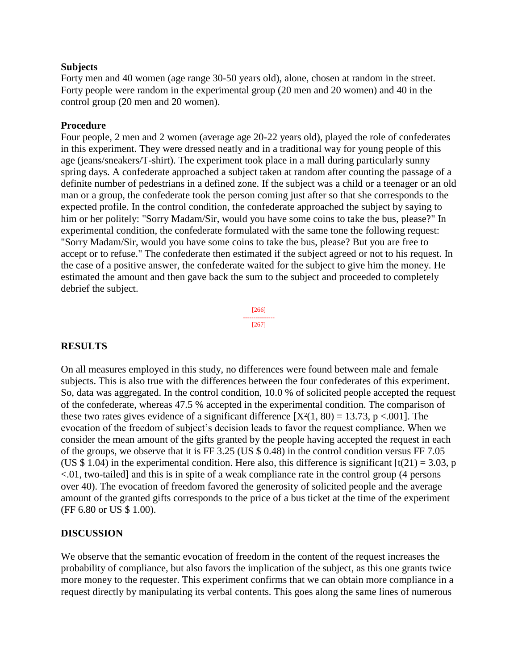#### **Subjects**

Forty men and 40 women (age range 30-50 years old), alone, chosen at random in the street. Forty people were random in the experimental group (20 men and 20 women) and 40 in the control group (20 men and 20 women).

### **Procedure**

Four people, 2 men and 2 women (average age 20-22 years old), played the role of confederates in this experiment. They were dressed neatly and in a traditional way for young people of this age (jeans/sneakers/T-shirt). The experiment took place in a mall during particularly sunny spring days. A confederate approached a subject taken at random after counting the passage of a definite number of pedestrians in a defined zone. If the subject was a child or a teenager or an old man or a group, the confederate took the person coming just after so that she corresponds to the expected profile. In the control condition, the confederate approached the subject by saying to him or her politely: "Sorry Madam/Sir, would you have some coins to take the bus, please?" In experimental condition, the confederate formulated with the same tone the following request: "Sorry Madam/Sir, would you have some coins to take the bus, please? But you are free to accept or to refuse." The confederate then estimated if the subject agreed or not to his request. In the case of a positive answer, the confederate waited for the subject to give him the money. He estimated the amount and then gave back the sum to the subject and proceeded to completely debrief the subject.



## **RESULTS**

On all measures employed in this study, no differences were found between male and female subjects. This is also true with the differences between the four confederates of this experiment. So, data was aggregated. In the control condition, 10.0 % of solicited people accepted the request of the confederate, whereas 47.5 % accepted in the experimental condition. The comparison of these two rates gives evidence of a significant difference  $[X^2(1, 80) = 13.73$ , p <.001]. The evocation of the freedom of subject's decision leads to favor the request compliance. When we consider the mean amount of the gifts granted by the people having accepted the request in each of the groups, we observe that it is FF 3.25 (US \$ 0.48) in the control condition versus FF 7.05 (US \$ 1.04) in the experimental condition. Here also, this difference is significant  $[t(21) = 3.03, p]$ <.01, two-tailed] and this is in spite of a weak compliance rate in the control group (4 persons over 40). The evocation of freedom favored the generosity of solicited people and the average amount of the granted gifts corresponds to the price of a bus ticket at the time of the experiment (FF 6.80 or US \$ 1.00).

## **DISCUSSION**

We observe that the semantic evocation of freedom in the content of the request increases the probability of compliance, but also favors the implication of the subject, as this one grants twice more money to the requester. This experiment confirms that we can obtain more compliance in a request directly by manipulating its verbal contents. This goes along the same lines of numerous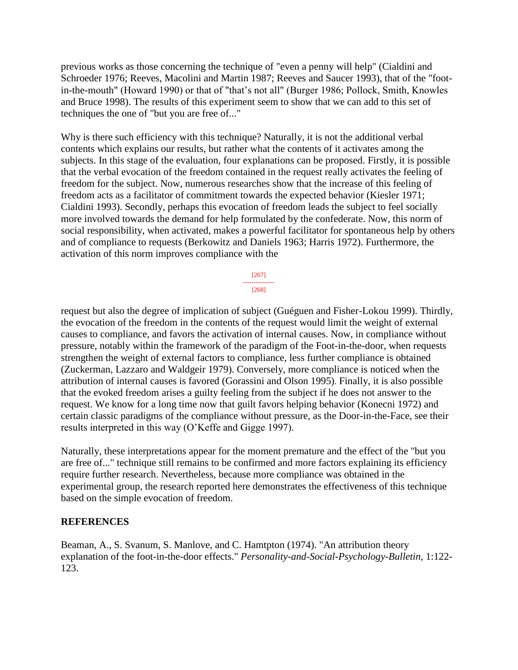previous works as those concerning the technique of "even a penny will help" (Cialdini and Schroeder 1976; Reeves, Macolini and Martin 1987; Reeves and Saucer 1993), that of the "footin-the-mouth" (Howard 1990) or that of "that's not all" (Burger 1986; Pollock, Smith, Knowles and Bruce 1998). The results of this experiment seem to show that we can add to this set of techniques the one of "but you are free of..."

Why is there such efficiency with this technique? Naturally, it is not the additional verbal contents which explains our results, but rather what the contents of it activates among the subjects. In this stage of the evaluation, four explanations can be proposed. Firstly, it is possible that the verbal evocation of the freedom contained in the request really activates the feeling of freedom for the subject. Now, numerous researches show that the increase of this feeling of freedom acts as a facilitator of commitment towards the expected behavior (Kiesler 1971; Cialdini 1993). Secondly, perhaps this evocation of freedom leads the subject to feel socially more involved towards the demand for help formulated by the confederate. Now, this norm of social responsibility, when activated, makes a powerful facilitator for spontaneous help by others and of compliance to requests (Berkowitz and Daniels 1963; Harris 1972). Furthermore, the activation of this norm improves compliance with the

> [267] --------------- [268]

request but also the degree of implication of subject (Guéguen and Fisher-Lokou 1999). Thirdly, the evocation of the freedom in the contents of the request would limit the weight of external causes to compliance, and favors the activation of internal causes. Now, in compliance without pressure, notably within the framework of the paradigm of the Foot-in-the-door, when requests strengthen the weight of external factors to compliance, less further compliance is obtained (Zuckerman, Lazzaro and Waldgeir 1979). Conversely, more compliance is noticed when the attribution of internal causes is favored (Gorassini and Olson 1995). Finally, it is also possible that the evoked freedom arises a guilty feeling from the subject if he does not answer to the request. We know for a long time now that guilt favors helping behavior (Konecni 1972) and certain classic paradigms of the compliance without pressure, as the Door-in-the-Face, see their results interpreted in this way (O'Keffe and Gigge 1997).

Naturally, these interpretations appear for the moment premature and the effect of the "but you are free of..." technique still remains to be confirmed and more factors explaining its efficiency require further research. Nevertheless, because more compliance was obtained in the experimental group, the research reported here demonstrates the effectiveness of this technique based on the simple evocation of freedom.

## **REFERENCES**

Beaman, A., S. Svanum, S. Manlove, and C. Hamtpton (1974). "An attribution theory explanation of the foot-in-the-door effects." *Personality-and-Social-Psychology-Bulletin*, 1:122- 123.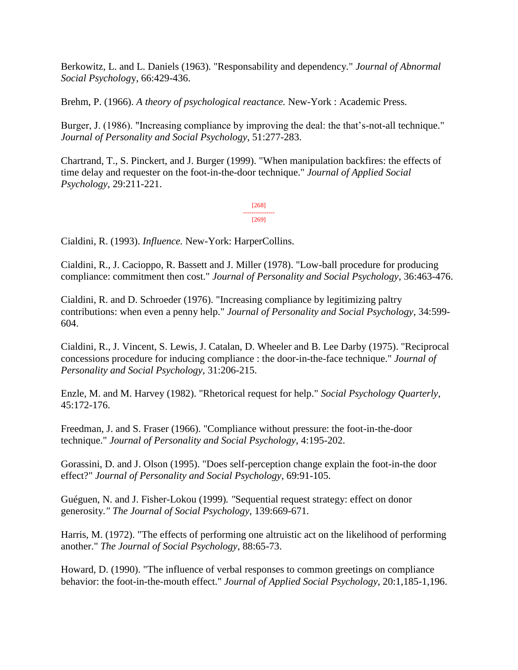Berkowitz, L. and L. Daniels (1963). "Responsability and dependency." *Journal of Abnormal Social Psycholog*y, 66:429-436.

Brehm, P. (1966). *A theory of psychological reactance.* New-York : Academic Press.

Burger, J. (1986). "Increasing compliance by improving the deal: the that's-not-all technique." *Journal of Personality and Social Psychology*, 51:277-283.

Chartrand, T., S. Pinckert, and J. Burger (1999). "When manipulation backfires: the effects of time delay and requester on the foot-in-the-door technique." *Journal of Applied Social Psychology*, 29:211-221.

> [268] --------------- [269]

Cialdini, R. (1993). *Influence.* New-York: HarperCollins.

Cialdini, R., J. Cacioppo, R. Bassett and J. Miller (1978). "Low-ball procedure for producing compliance: commitment then cost." *Journal of Personality and Social Psychology*, 36:463-476.

Cialdini, R. and D. Schroeder (1976). "Increasing compliance by legitimizing paltry contributions: when even a penny help." *Journal of Personality and Social Psychology*, 34:599- 604.

Cialdini, R., J. Vincent, S. Lewis, J. Catalan, D. Wheeler and B. Lee Darby (1975). "Reciprocal concessions procedure for inducing compliance : the door-in-the-face technique." *Journal of Personality and Social Psychology*, 31:206-215.

Enzle, M. and M. Harvey (1982). "Rhetorical request for help." *Social Psychology Quarterly*, 45:172-176.

Freedman, J. and S. Fraser (1966). "Compliance without pressure: the foot-in-the-door technique." *Journal of Personality and Social Psychology*, 4:195-202.

Gorassini, D. and J. Olson (1995). "Does self-perception change explain the foot-in-the door effect?" *Journal of Personality and Social Psychology*, 69:91-105.

Guéguen, N. and J. Fisher-Lokou (1999)*. "*Sequential request strategy: effect on donor generosity*." The Journal of Social Psychology*, 139:669-671.

Harris, M. (1972). "The effects of performing one altruistic act on the likelihood of performing another." *The Journal of Social Psychology*, 88:65-73.

Howard, D. (1990). "The influence of verbal responses to common greetings on compliance behavior: the foot-in-the-mouth effect." *Journal of Applied Social Psychology*, 20:1,185-1,196.